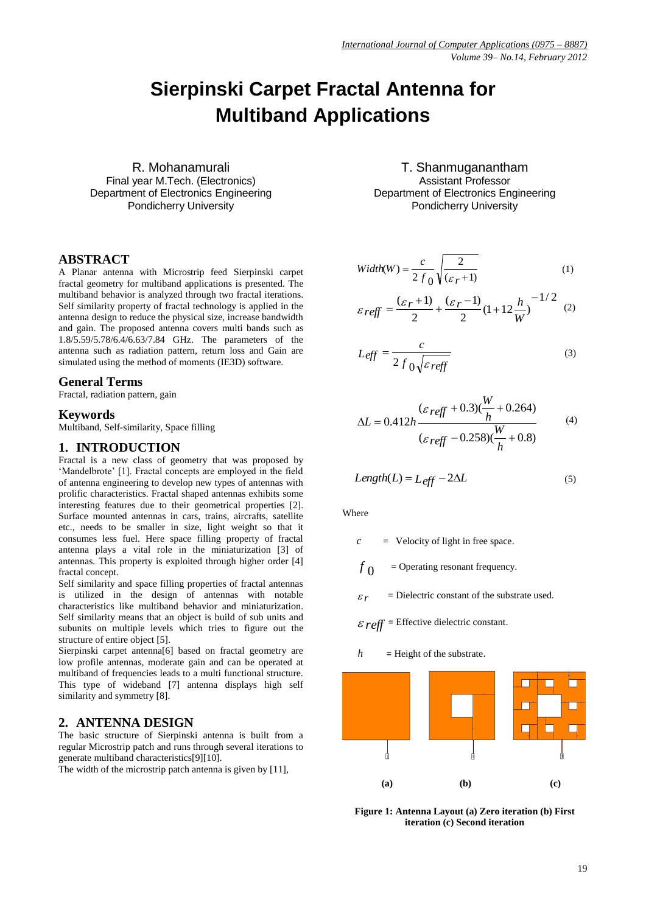# **Sierpinski Carpet Fractal Antenna for Multiband Applications**

R. Mohanamurali Final year M.Tech. (Electronics) Department of Electronics Engineering Pondicherry University

## **ABSTRACT**

A Planar antenna with Microstrip feed Sierpinski carpet fractal geometry for multiband applications is presented. The multiband behavior is analyzed through two fractal iterations. Self similarity property of fractal technology is applied in the antenna design to reduce the physical size, increase bandwidth and gain. The proposed antenna covers multi bands such as 1.8/5.59/5.78/6.4/6.63/7.84 GHz. The parameters of the antenna such as radiation pattern, return loss and Gain are simulated using the method of moments (IE3D) software.

#### **General Terms**

Fractal, radiation pattern, gain

## **Keywords**

Multiband, Self-similarity, Space filling

#### **1. INTRODUCTION**

Fractal is a new class of geometry that was proposed by "Mandelbrote" [1]. Fractal concepts are employed in the field of antenna engineering to develop new types of antennas with prolific characteristics. Fractal shaped antennas exhibits some interesting features due to their geometrical properties [2]. Surface mounted antennas in cars, trains, aircrafts, satellite etc., needs to be smaller in size, light weight so that it consumes less fuel. Here space filling property of fractal antenna plays a vital role in the miniaturization [3] of antennas. This property is exploited through higher order [4] fractal concept.

Self similarity and space filling properties of fractal antennas is utilized in the design of antennas with notable characteristics like multiband behavior and miniaturization. Self similarity means that an object is build of sub units and subunits on multiple levels which tries to figure out the structure of entire object [5].

Sierpinski carpet antenna[6] based on fractal geometry are low profile antennas, moderate gain and can be operated at multiband of frequencies leads to a multi functional structure. This type of wideband [7] antenna displays high self similarity and symmetry [8].

### **2. ANTENNA DESIGN**

The basic structure of Sierpinski antenna is built from a regular Microstrip patch and runs through several iterations to generate multiband characteristics[9][10].

The width of the microstrip patch antenna is given by [11],

T. Shanmuganantham Assistant Professor Department of Electronics Engineering Pondicherry University

$$
Width(W) = \frac{c}{2 f_0} \sqrt{\frac{2}{(\varepsilon_r + 1)}}
$$
 (1)

$$
\varepsilon_{\text{reff}} = \frac{(\varepsilon_r + 1)}{2} + \frac{(\varepsilon_r - 1)}{2} (1 + 12 \frac{h}{W})^{-1/2} \tag{2}
$$

$$
L_{eff} = \frac{c}{2 f_0 \sqrt{\varepsilon_{reff}}}
$$
 (3)

$$
\Delta L = 0.412h \frac{(\varepsilon_{\text{reff}} + 0.3)(\frac{W}{h} + 0.264)}{(\varepsilon_{\text{reff}} - 0.258)(\frac{W}{h} + 0.8)}
$$
(4)

$$
Length(L) = L_{eff} - 2\Delta L
$$
 (5)

**Where** 

$$
c
$$
 = Velocity of light in free space.

*f* 0 = Operating resonant frequency.

 *r* = Dielectric constant of the substrate used.

$$
\mathcal{E} \text{ reff} = \text{Effective dielectric constant}.
$$

$$
h
$$
 = Height of the substrate.



**Figure 1: Antenna Layout (a) Zero iteration (b) First iteration (c) Second iteration**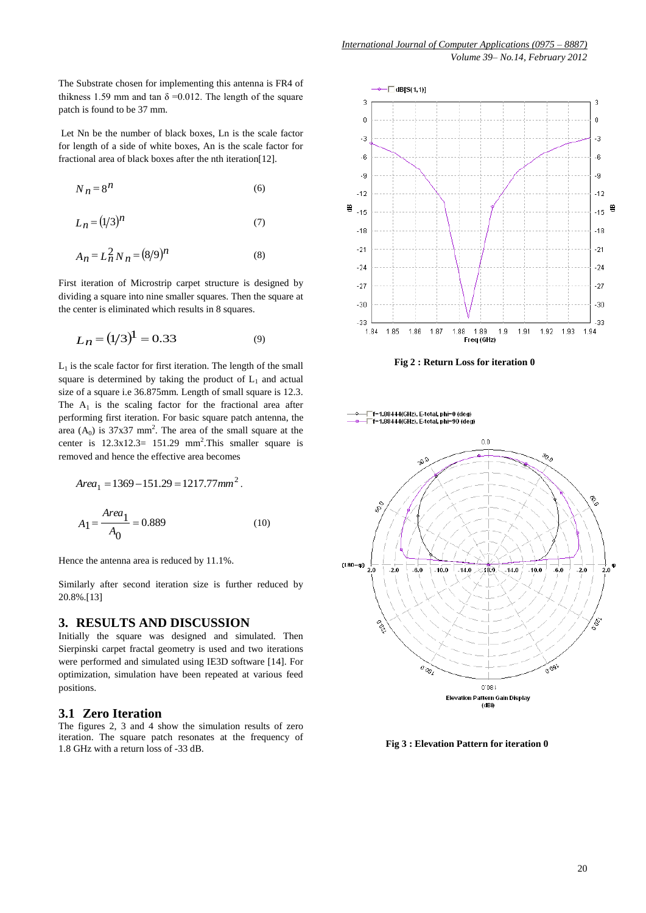*Volume 39– No.14, February 2012*

The Substrate chosen for implementing this antenna is FR4 of thikness 1.59 mm and tan  $\delta = 0.012$ . The length of the square patch is found to be 37 mm.

Let Nn be the number of black boxes, Ln is the scale factor for length of a side of white boxes, An is the scale factor for fractional area of black boxes after the nth iteration[12].

$$
N_n = 8^n \tag{6}
$$

$$
L_n = (1/3)^n \tag{7}
$$

$$
A_n = L_n^2 N_n = (8/9)^n
$$
 (8)

First iteration of Microstrip carpet structure is designed by dividing a square into nine smaller squares. Then the square at the center is eliminated which results in 8 squares.

$$
L_n = (1/3)^1 = 0.33\tag{9}
$$

 $L_1$  is the scale factor for first iteration. The length of the small square is determined by taking the product of  $L_1$  and actual size of a square i.e 36.875mm. Length of small square is 12.3. The  $A_1$  is the scaling factor for the fractional area after performing first iteration. For basic square patch antenna, the area  $(A_0)$  is 37x37 mm<sup>2</sup>. The area of the small square at the center is  $12.3 \times 12.3 = 151.29$  mm<sup>2</sup>. This smaller square is removed and hence the effective area becomes

$$
Area_1 = 1369 - 151.29 = 1217.77mm2.
$$
  

$$
A_1 = \frac{Area_1}{A_0} = 0.889
$$
 (10)

Hence the antenna area is reduced by 11.1%.

Similarly after second iteration size is further reduced by 20.8%.[13]

### **3. RESULTS AND DISCUSSION**

Initially the square was designed and simulated. Then Sierpinski carpet fractal geometry is used and two iterations were performed and simulated using IE3D software [14]. For optimization, simulation have been repeated at various feed positions.

## **3.1 Zero Iteration**

The figures 2, 3 and 4 show the simulation results of zero iteration. The square patch resonates at the frequency of 1.8 GHz with a return loss of -33 dB.



**Fig 2 : Return Loss for iteration 0**



 **Fig 3 : Elevation Pattern for iteration 0**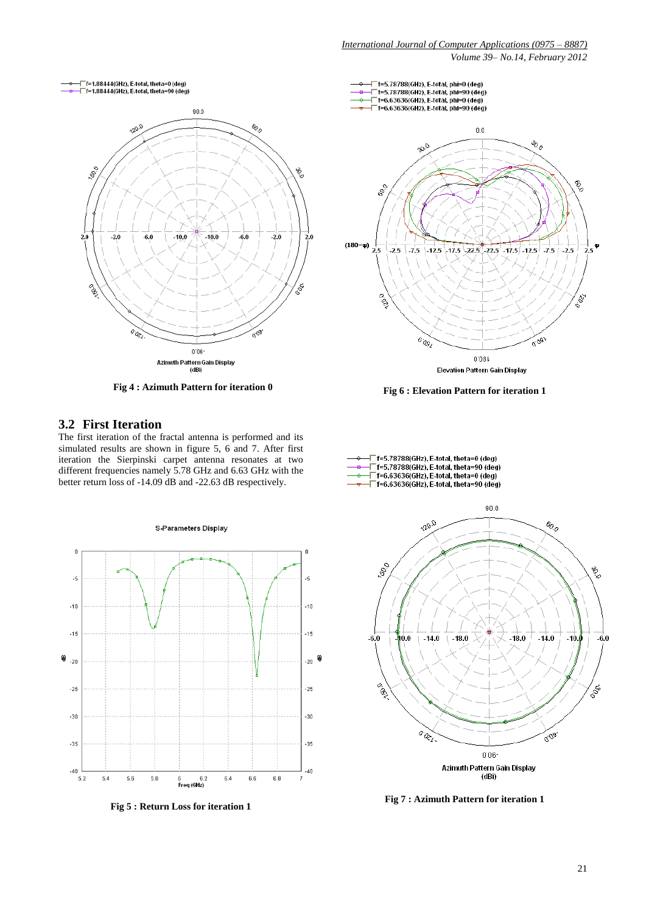*Volume 39– No.14, February 2012*



## **3.2 First Iteration**

The first iteration of the fractal antenna is performed and its simulated results are shown in figure 5, 6 and 7. After first iteration the Sierpinski carpet antenna resonates at two different frequencies namely 5.78 GHz and 6.63 GHz with the better return loss of -14.09 dB and -22.63 dB respectively.



**Fig 5 : Return Loss for iteration 1**





**Fig 7 : Azimuth Pattern for iteration 1**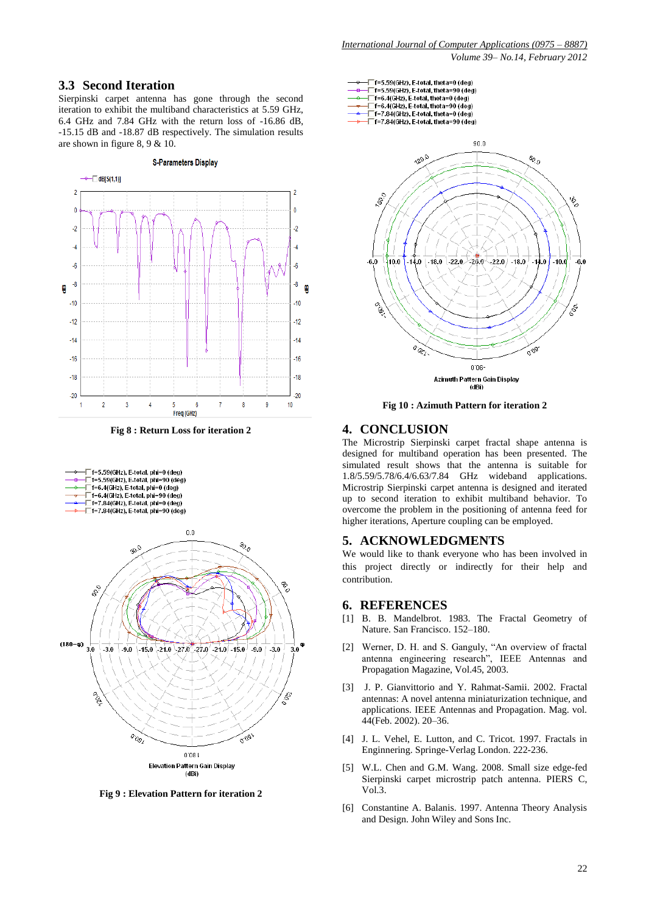#### **3.3 Second Iteration**

Sierpinski carpet antenna has gone through the second iteration to exhibit the multiband characteristics at 5.59 GHz, 6.4 GHz and 7.84 GHz with the return loss of -16.86 dB, -15.15 dB and -18.87 dB respectively. The simulation results are shown in figure 8, 9 & 10.

#### **S-Parameters Display**



**Fig 8 : Return Loss for iteration 2**



**Fig 9 : Elevation Pattern for iteration 2**



**Fig 10 : Azimuth Pattern for iteration 2**

## **4. CONCLUSION**

The Microstrip Sierpinski carpet fractal shape antenna is designed for multiband operation has been presented. The simulated result shows that the antenna is suitable for 1.8/5.59/5.78/6.4/6.63/7.84 GHz wideband applications. Microstrip Sierpinski carpet antenna is designed and iterated up to second iteration to exhibit multiband behavior. To overcome the problem in the positioning of antenna feed for higher iterations, Aperture coupling can be employed.

#### **5. ACKNOWLEDGMENTS**

We would like to thank everyone who has been involved in this project directly or indirectly for their help and contribution.

#### **6. REFERENCES**

- [1] B. B. Mandelbrot. 1983. The Fractal Geometry of Nature. San Francisco. 152–180.
- [2] Werner, D. H. and S. Ganguly, "An overview of fractal antenna engineering research", IEEE Antennas and Propagation Magazine, Vol.45, 2003.
- [3] J. P. Gianvittorio and Y. Rahmat-Samii. 2002. Fractal antennas: A novel antenna miniaturization technique, and applications. IEEE Antennas and Propagation. Mag. vol. 44(Feb. 2002). 20–36.
- [4] J. L. Vehel, E. Lutton, and C. Tricot. 1997. Fractals in Enginnering. Springe-Verlag London. 222-236.
- [5] W.L. Chen and G.M. Wang. 2008. Small size edge-fed Sierpinski carpet microstrip patch antenna. PIERS C, Vol.3.
- [6] Constantine A. Balanis. 1997. Antenna Theory Analysis and Design. John Wiley and Sons Inc.